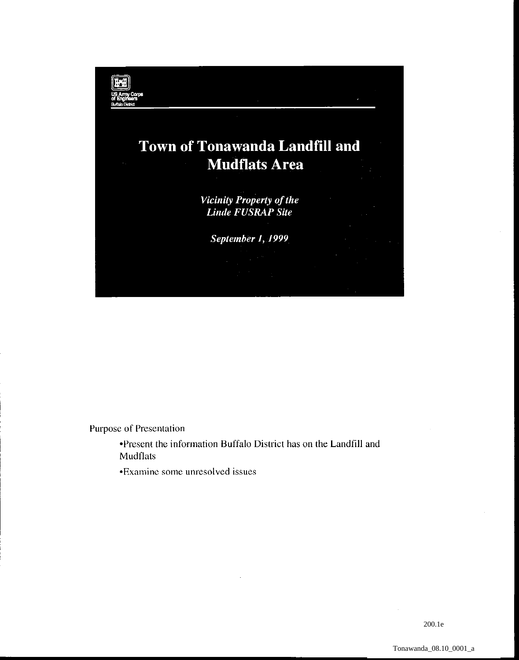

Purpose of Presentation

•Present the information Buffalo District has on the Landfill and Mudflats

•Examine some unresolved issues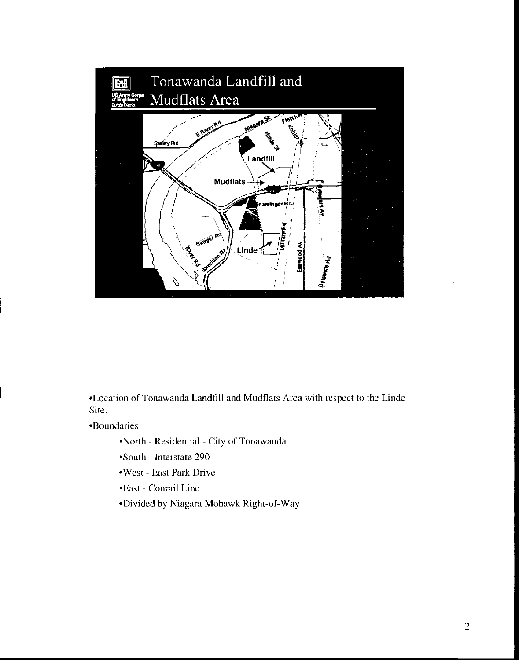

•Location of Tonawanda Landfill and Mudflats Area with respect to the Linde Site.

•Boundaries

•North- Residential -City of Tonawanda

- •South Interstate 290
- •West- East Park Drive
- •East- Conrail Line
- •Divided by Niagara Mohawk Right-of-Way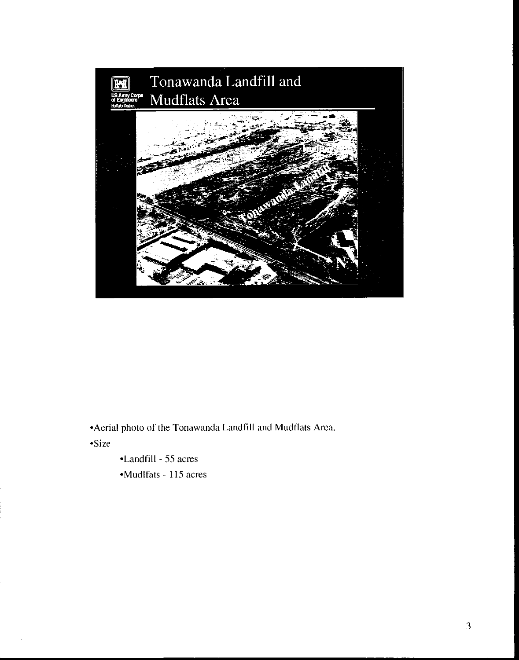

•Aerial photo of the Tonawanda Landfill and Mudflats Area.

•Size

- •Landfill 55 acres
- •Mudlfats 115 acres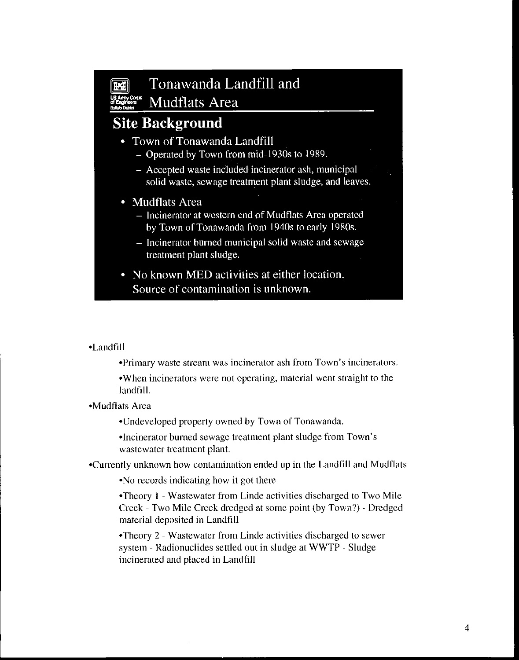# **Fill** Tonawanda Landfill and Mudflats Area

### **Site Background**

- Town of Tonawanda Landfill
	- Operated by Town from mid-1930s to 1989.
	- Accepted waste included incinerator ash, municipal solid waste, sewage treatment plant sludge, and leaves.
- Mudflats Area
	- Incinerator at western end of Mudflats Area operated by Town of Tonawanda from 1940s to early 1980s.
	- Incinerator bumed municipal solid waste and sewage treatment plant sludge.
- No known MED activities at either location. Source of contamination is unknown.

### •Landfill

•Primary waste stream was incinerator ash from Town's incinerators.

•When incinerators were not operating, material went straight to the landfill.

•Mudflats Area

•Undeveloped property owned by Town of Tonawanda.

•Incinerator burned sewage treatment plant sludge from Town's wastewater treatment plant.

•Currently unknown how contamination ended up in the Landfill and Mudflats

•No records indicating how it got there

•Theory I -Wastewater from Linde activities discharged to Two Mile Creek- Two Mile Creek dredged at some point (by Town?)- Dredged material deposited in Landfill

•Theory 2- Wastewater from Linde activities discharged to sewer system - Radionuclides settled out in sludge at WWTP - Sludge incinerated and placed in Landfill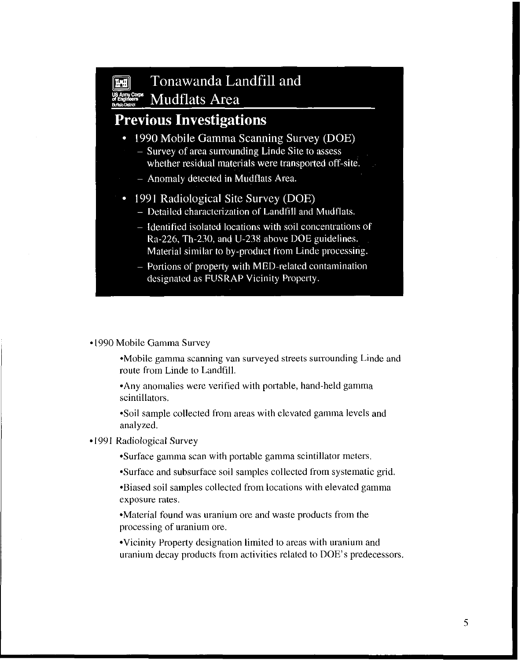## **FRI** Tonawanda Landfill and ~~""""' Mudflats Area

### **Previous Investigations**

- 1990 Mobile Gamma Scanning Survey (DOE)
	- $-$  Survey of area surrounding Linde Site to assess whether residual materials were transported off-site.
	- Anomaly detected in Mudflats Area.
- 1991 Radiological Site Survey (DOE)
	- Detailed characterization of Landfill and Mudflats.
	- Identified isolated locations with soil concentrations of Ra-226, Th-230, and U-238 above DOE guidelines. Material similar to by-product from Linde processing.
	- Portions of property with MED-related contamination designated as FUSRAP Vicinity Property.

#### •1990 Mobile Gamma Survey

•Mobile gamma scanning van surveyed streets surrounding Linde and route from Linde to Landfill.

•Any anomalies were verified with portable, hand-held gamma scintillators.

•Soil sample collected from areas with elevated gamma levels and analyzed.

#### •1991 Radiological Survey

•Surface gamma scan with portable gamma scintillator meters.

•Surface and subsurface soil samples collected from systematic grid.

•Biased soil samples collected from locations with elevated gamma exposure rates.

•Material found was uranium ore and waste products from the processing of uranium ore.

• Vicinity Property designation limited to areas with uranium and uranium decay products from activities related to DOE's predecessors.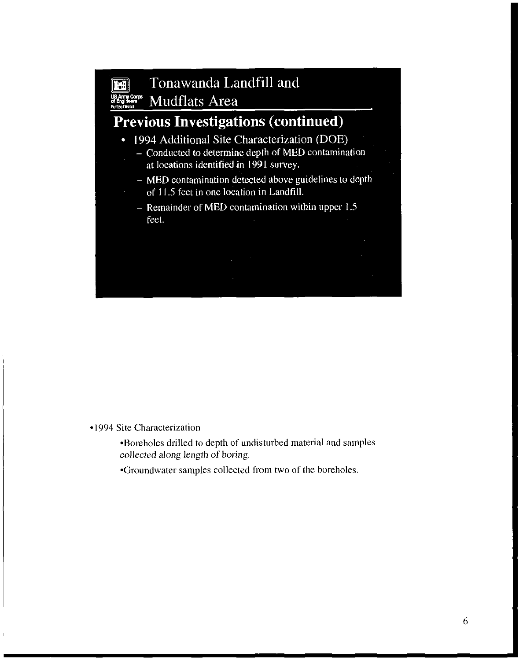

- MED contamination detected above guidelines to depth of 11.5 feet in one location in Landfill.

- Remainder of MED contamination within upper 1.5 feet.

•1994 Site Characterization

•Boreholes drilled to depth of undisturbed material and samples collected along length of boring.

•Groundwater samples collected from two of the boreholes.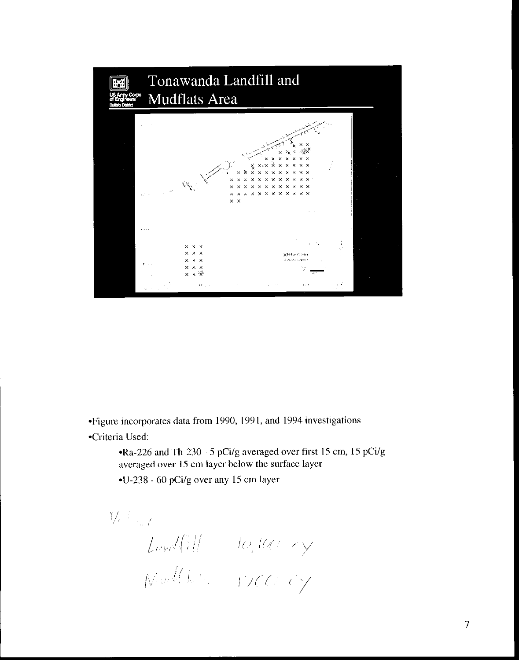

•Figure incorporates data from 1990, 1991, and 1994 investigations

•Criteria Used:

•Ra-226 and Th-230- 5 pCi/g averaged over first 15 em, 15 pCi/g averaged over 15 em layer below the surface layer

•U-238 - 60 pCi/g over any 15 em layer

 $\bigvee\!\ell^{\pm\ell}$  and L *l'r•J(* I / 1  $\mathcal{M}$  will have a system of  $\mathcal{M}^{\mathcal{A}}$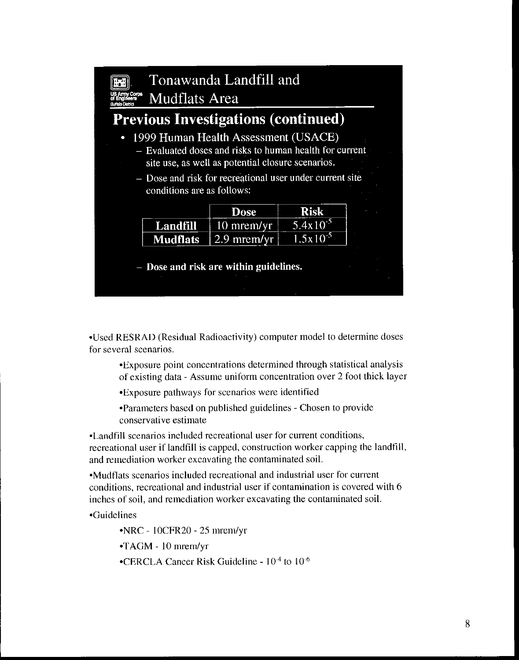

•Used RESRAD (Residual Radioactivity) computer model to determine doses for several scenarios.

•Exposure point concentrations determined through statistical analysis of existing data- Assume uniform concentration over 2 foot thick layer

•Exposure pathways for scenarios were identified

•Parameters based on published guidelines- Chosen to provide conservative estimate

•Landfill scenarios included recreational user for current conditions, recreational user if landfill is capped, construction worker capping the landfill, and remediation worker excavating the contaminated soiL

•Mudflats scenarios included recreational and industrial user for current conditions, recreational and industrial user if contamination is covered with 6 inches of soil, and remediation worker excavating the contaminated soiL

•Guidelines

• NRC - l OCFR20 - 25 mrem/yr

•TAGM- 10 mrem/yr

•CERCLA Cancer Risk Guideline -  $10<sup>-4</sup>$  to  $10<sup>-6</sup>$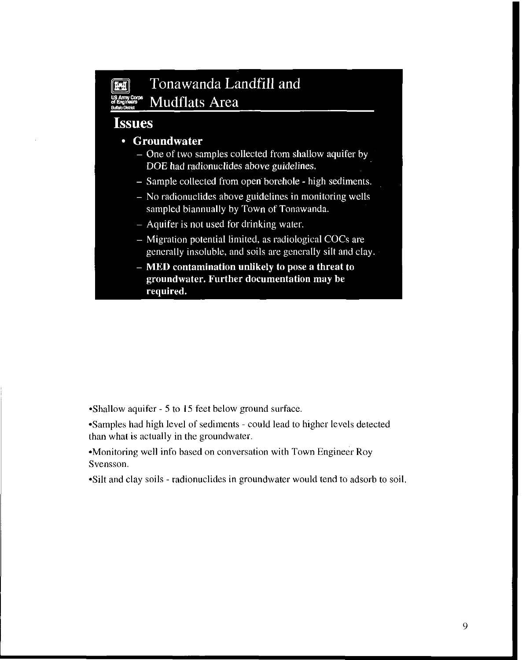### **Fill** Tonawanda Landfill and Mudflats Area

### **Issues**

### • Groundwater

- One of two samples collected from shallow aquifer by DOE had radionuclides above guidelines.
- Sample collected from open borehole high sediments.
- No radionuclides above guidelines in monitoring wells sampled biannually by Town of Tonawanda.
- Aquifer is not used for drinking water.
- Migration potential limited, as radiological COCs are generally insoluble, and soils are generally silt and clay.
- MED contamination unlikely to pose a threat to groundwater. Further documentation may be required.

•Shallow aquifer - 5 to 15 feet below ground surface.

•Samples had high level of sediments - could lead to higher levels detected than what is actually in the groundwater.

•Monitoring well info based on conversation with Town Engineer Roy Svensson.

•Silt and clay soils - radionuclides in groundwater would tend to adsorb to soil.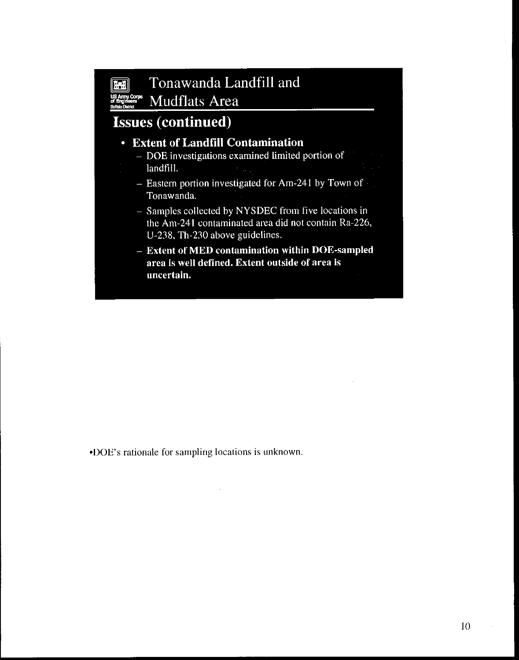# **FRICA** Tonawanda Landfill and  $_{\tiny{\begin{array}{l} \text{Equation}\\ \text{Equation}\\ \text{the 2D system}\end{array}}^{\text{SAmm, Conv}}$  Mudflats Area

## Issues **(continued)**

### • Extent of Landfill Contamination

- DOE investigations examined limited portion of landfill.
- Eastern portion investigated for Am-241 by Town of Tonawanda.
- Samples collected by NYSDEC from five locations in the Am-241 contaminated area did not contain Ra-226, U-238, Th-230 above guidelines.
- Extent of MED contamination within DOE-sampled area is well defined. Extent outside of area is uncertain.

•DOE's rationale for sampling locations is unknown.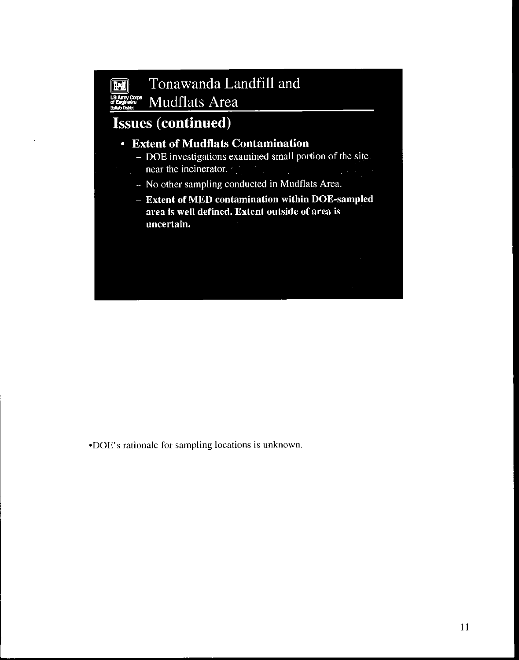# **n Tonawanda Landfill and** WE Army Corps Mudflats Area

# Issues **(continued)**

### • Extent of Mudflats Contamination

- DOE investigations examined small portion of the site near the incinerator.
- No other sampling conducted in Mudflats Area.
- Extent of MED contamination within DOE-sampled area is well defined. Extent outside of area is uncertain.

•DOE's rationale for sampling locations is unknown.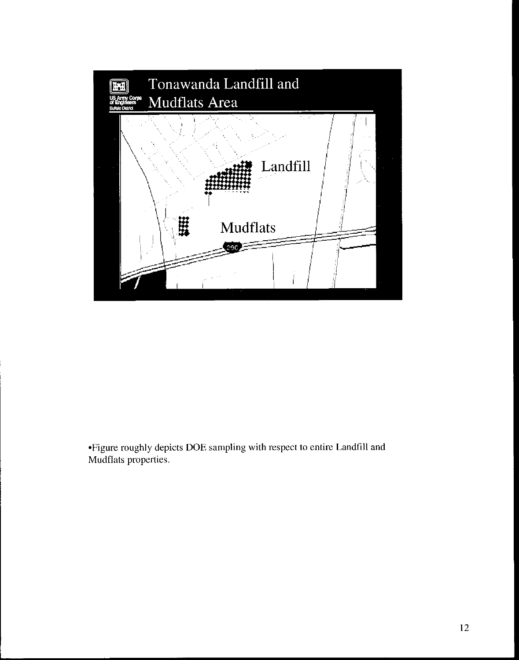

•Figure roughly depicts DOE sampling with respect to entire Landfill and Mudflats properties.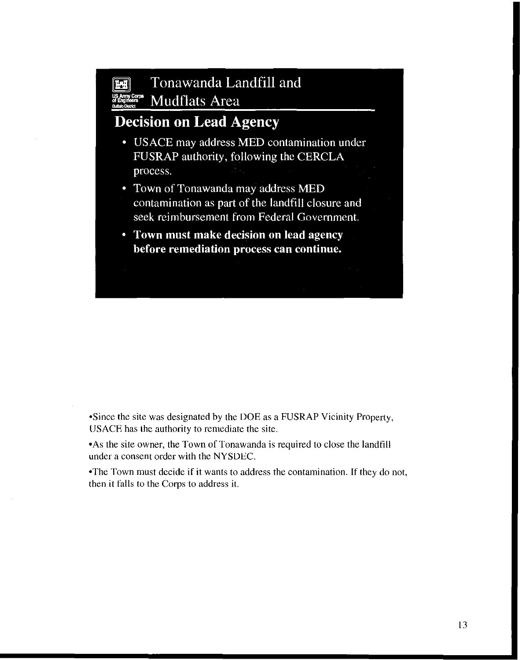### **FRI** Tonawanda Landfill and  $\frac{\text{SAmy Corps}}{\text{Engineering}}$  Mudflats Area

### **Decision on Lead** Agency

- USACE may address MED contamination under FUSRAP authority, following the CERCLA process.
- Town of Tonawanda may address MED contamination as part of the landfill closure and seek reimbursement from Federal Government.
- Town must make decision on lead agency before remediation process can continue.

•Since the site was designated by the DOE as a FUSRAP Vicinity Property, US ACE has the authority to remediate the site.

•As the site owner, the Town of Tonawanda is required to close the landfill under a consent order with the NYSDEC.

•The Town must decide if it wants to address the contamination. If they do not, then it falls to the Corps to address it.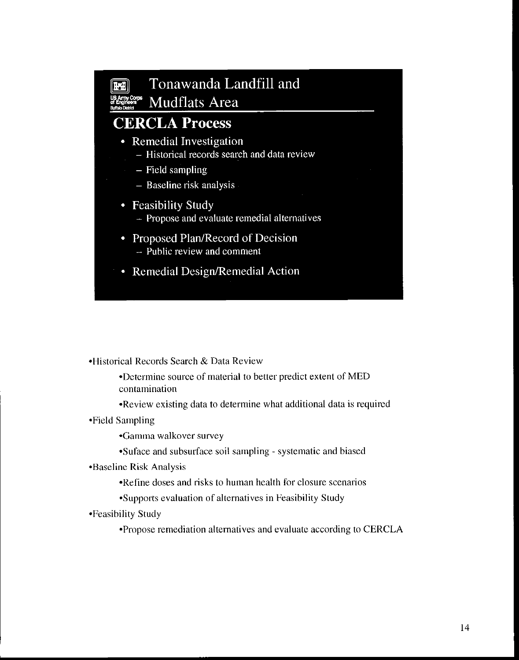

• Remedial Design/Remedial Action

•Historical Records Search & Data Review

•Determine source of material to better predict extent of MED contamination

•Review existing data to determine what additional data is required

• Field Sampling

•Gamma walkover survey

•Suface and subsurface soil sampling- systematic and biased

•Baseline Risk Analysis

•Refine doses and risks to human health for closure scenatios

•Supports evaluation of alternatives in Feasibility Study

•Feasibility Study

•Propose remediation altematives and evaluate according to CERCLA